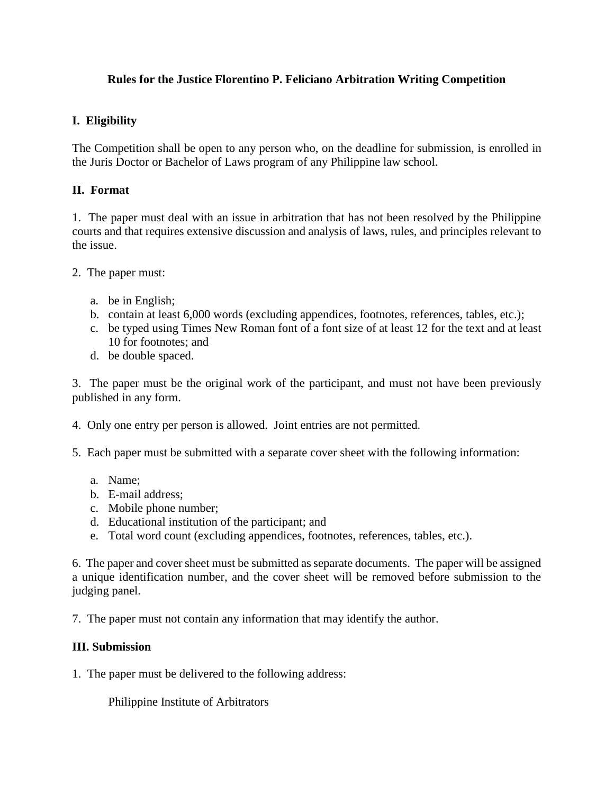## **Rules for the Justice Florentino P. Feliciano Arbitration Writing Competition**

#### **I. Eligibility**

The Competition shall be open to any person who, on the deadline for submission, is enrolled in the Juris Doctor or Bachelor of Laws program of any Philippine law school.

#### **II. Format**

1. The paper must deal with an issue in arbitration that has not been resolved by the Philippine courts and that requires extensive discussion and analysis of laws, rules, and principles relevant to the issue.

- 2. The paper must:
	- a. be in English;
	- b. contain at least 6,000 words (excluding appendices, footnotes, references, tables, etc.);
	- c. be typed using Times New Roman font of a font size of at least 12 for the text and at least 10 for footnotes; and
	- d. be double spaced.

3. The paper must be the original work of the participant, and must not have been previously published in any form.

4. Only one entry per person is allowed. Joint entries are not permitted.

- 5. Each paper must be submitted with a separate cover sheet with the following information:
	- a. Name;
	- b. E-mail address;
	- c. Mobile phone number;
	- d. Educational institution of the participant; and
	- e. Total word count (excluding appendices, footnotes, references, tables, etc.).

6. The paper and cover sheet must be submitted as separate documents. The paper will be assigned a unique identification number, and the cover sheet will be removed before submission to the judging panel.

7. The paper must not contain any information that may identify the author.

#### **III. Submission**

1. The paper must be delivered to the following address:

Philippine Institute of Arbitrators